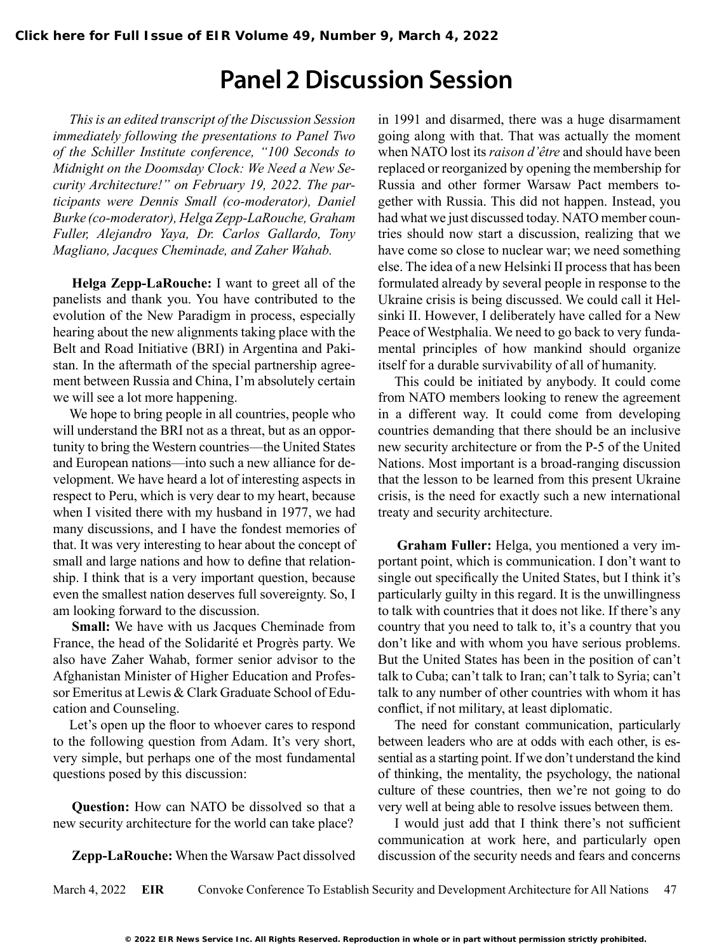## **Panel 2 Discussion Session**

*This is an edited transcript of the Discussion Session immediately following the presentations to Panel Two of the Schiller Institute conference, "100 Seconds to Midnight on the Doomsday Clock: We Need a New Security Architecture!" on February 19, 2022. The participants were Dennis Small (co-moderator), Daniel Burke (co-moderator), Helga Zepp-LaRouche, Graham Fuller, Alejandro Yaya, Dr. Carlos Gallardo, Tony Magliano, Jacques Cheminade, and Zaher Wahab.*

**Helga Zepp-LaRouche:** I want to greet all of the panelists and thank you. You have contributed to the evolution of the New Paradigm in process, especially hearing about the new alignments taking place with the Belt and Road Initiative (BRI) in Argentina and Pakistan. In the aftermath of the special partnership agreement between Russia and China, I'm absolutely certain we will see a lot more happening.

We hope to bring people in all countries, people who will understand the BRI not as a threat, but as an opportunity to bring the Western countries—the United States and European nations—into such a new alliance for development. We have heard a lot of interesting aspects in respect to Peru, which is very dear to my heart, because when I visited there with my husband in 1977, we had many discussions, and I have the fondest memories of that. It was very interesting to hear about the concept of small and large nations and how to define that relationship. I think that is a very important question, because even the smallest nation deserves full sovereignty. So, I am looking forward to the discussion.

**Small:** We have with us Jacques Cheminade from France, the head of the Solidarité et Progrès party. We also have Zaher Wahab, former senior advisor to the Afghanistan Minister of Higher Education and Professor Emeritus at Lewis & Clark Graduate School of Education and Counseling.

Let's open up the floor to whoever cares to respond to the following question from Adam. It's very short, very simple, but perhaps one of the most fundamental questions posed by this discussion:

**Question:** How can NATO be dissolved so that a new security architecture for the world can take place?

**Zepp-LaRouche:** When the Warsaw Pact dissolved

in 1991 and disarmed, there was a huge disarmament going along with that. That was actually the moment when NATO lost its *raison d'être* and should have been replaced or reorganized by opening the membership for Russia and other former Warsaw Pact members together with Russia. This did not happen. Instead, you had what we just discussed today. NATO member countries should now start a discussion, realizing that we have come so close to nuclear war; we need something else. The idea of a new Helsinki II process that has been formulated already by several people in response to the Ukraine crisis is being discussed. We could call it Helsinki II. However, I deliberately have called for a New Peace of Westphalia. We need to go back to very fundamental principles of how mankind should organize itself for a durable survivability of all of humanity.

This could be initiated by anybody. It could come from NATO members looking to renew the agreement in a different way. It could come from developing countries demanding that there should be an inclusive new security architecture or from the P-5 of the United Nations. Most important is a broad-ranging discussion that the lesson to be learned from this present Ukraine crisis, is the need for exactly such a new international treaty and security architecture.

**Graham Fuller:** Helga, you mentioned a very important point, which is communication. I don't want to single out specifically the United States, but I think it's particularly guilty in this regard. It is the unwillingness to talk with countries that it does not like. If there's any country that you need to talk to, it's a country that you don't like and with whom you have serious problems. But the United States has been in the position of can't talk to Cuba; can't talk to Iran; can't talk to Syria; can't talk to any number of other countries with whom it has conflict, if not military, at least diplomatic.

The need for constant communication, particularly between leaders who are at odds with each other, is essential as a starting point. If we don't understand the kind of thinking, the mentality, the psychology, the national culture of these countries, then we're not going to do very well at being able to resolve issues between them.

I would just add that I think there's not sufficient communication at work here, and particularly open discussion of the security needs and fears and concerns

March 4, 2022 **EIR** Convoke Conference To Establish Security and Development Architecture for All Nations 47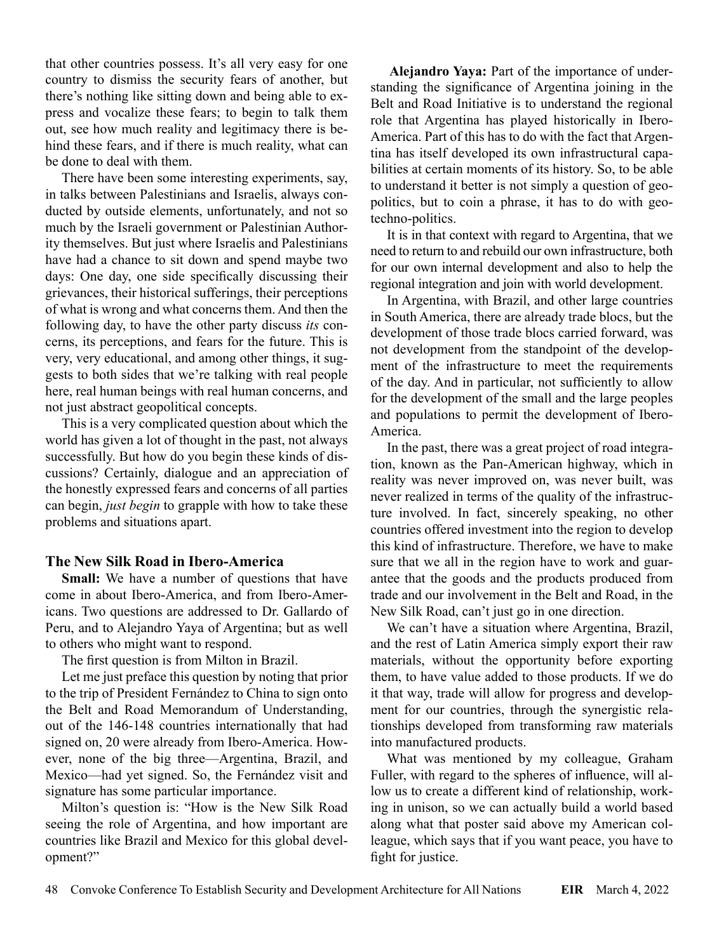that other countries possess. It's all very easy for one country to dismiss the security fears of another, but there's nothing like sitting down and being able to express and vocalize these fears; to begin to talk them out, see how much reality and legitimacy there is behind these fears, and if there is much reality, what can be done to deal with them.

There have been some interesting experiments, say, in talks between Palestinians and Israelis, always conducted by outside elements, unfortunately, and not so much by the Israeli government or Palestinian Authority themselves. But just where Israelis and Palestinians have had a chance to sit down and spend maybe two days: One day, one side specifically discussing their grievances, their historical sufferings, their perceptions of what is wrong and what concerns them. And then the following day, to have the other party discuss *its* concerns, its perceptions, and fears for the future. This is very, very educational, and among other things, it suggests to both sides that we're talking with real people here, real human beings with real human concerns, and not just abstract geopolitical concepts.

This is a very complicated question about which the world has given a lot of thought in the past, not always successfully. But how do you begin these kinds of discussions? Certainly, dialogue and an appreciation of the honestly expressed fears and concerns of all parties can begin, *just begin* to grapple with how to take these problems and situations apart.

#### **The New Silk Road in Ibero-America**

**Small:** We have a number of questions that have come in about Ibero-America, and from Ibero-Americans. Two questions are addressed to Dr. Gallardo of Peru, and to Alejandro Yaya of Argentina; but as well to others who might want to respond.

The first question is from Milton in Brazil.

Let me just preface this question by noting that prior to the trip of President Fernández to China to sign onto the Belt and Road Memorandum of Understanding, out of the 146-148 countries internationally that had signed on, 20 were already from Ibero-America. However, none of the big three—Argentina, Brazil, and Mexico—had yet signed. So, the Fernández visit and signature has some particular importance.

Milton's question is: "How is the New Silk Road seeing the role of Argentina, and how important are countries like Brazil and Mexico for this global development?"

**Alejandro Yaya:** Part of the importance of understanding the significance of Argentina joining in the Belt and Road Initiative is to understand the regional role that Argentina has played historically in Ibero-America. Part of this has to do with the fact that Argentina has itself developed its own infrastructural capabilities at certain moments of its history. So, to be able to understand it better is not simply a question of geopolitics, but to coin a phrase, it has to do with geotechno-politics.

It is in that context with regard to Argentina, that we need to return to and rebuild our own infrastructure, both for our own internal development and also to help the regional integration and join with world development.

In Argentina, with Brazil, and other large countries in South America, there are already trade blocs, but the development of those trade blocs carried forward, was not development from the standpoint of the development of the infrastructure to meet the requirements of the day. And in particular, not sufficiently to allow for the development of the small and the large peoples and populations to permit the development of Ibero-America.

In the past, there was a great project of road integration, known as the Pan-American highway, which in reality was never improved on, was never built, was never realized in terms of the quality of the infrastructure involved. In fact, sincerely speaking, no other countries offered investment into the region to develop this kind of infrastructure. Therefore, we have to make sure that we all in the region have to work and guarantee that the goods and the products produced from trade and our involvement in the Belt and Road, in the New Silk Road, can't just go in one direction.

We can't have a situation where Argentina, Brazil, and the rest of Latin America simply export their raw materials, without the opportunity before exporting them, to have value added to those products. If we do it that way, trade will allow for progress and development for our countries, through the synergistic relationships developed from transforming raw materials into manufactured products.

What was mentioned by my colleague, Graham Fuller, with regard to the spheres of influence, will allow us to create a different kind of relationship, working in unison, so we can actually build a world based along what that poster said above my American colleague, which says that if you want peace, you have to fight for justice.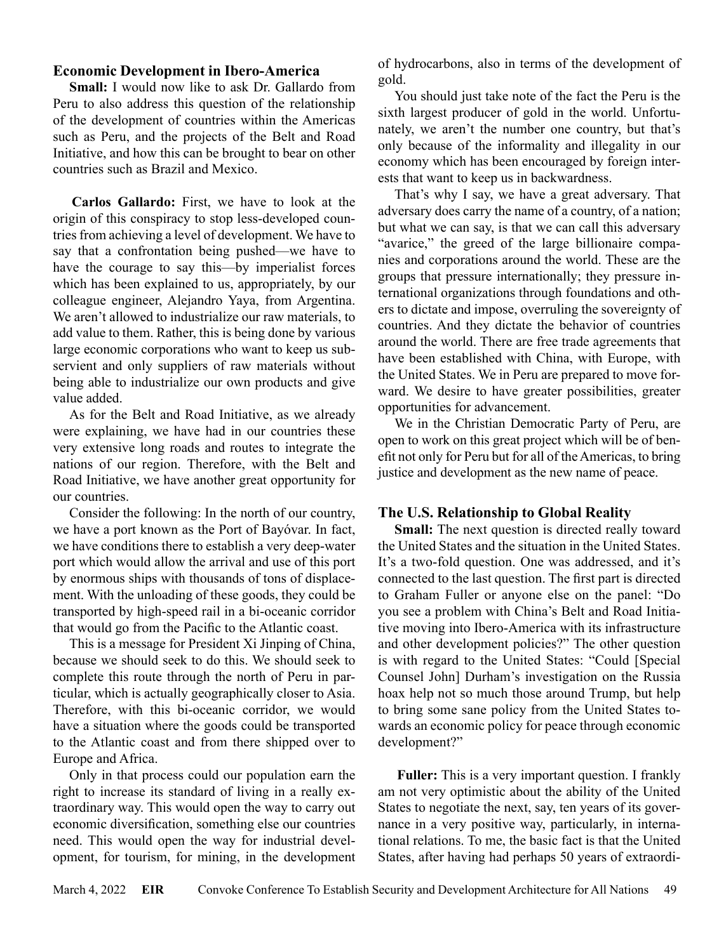#### **Economic Development in Ibero-America**

**Small:** I would now like to ask Dr. Gallardo from Peru to also address this question of the relationship of the development of countries within the Americas such as Peru, and the projects of the Belt and Road Initiative, and how this can be brought to bear on other countries such as Brazil and Mexico.

**Carlos Gallardo:** First, we have to look at the origin of this conspiracy to stop less-developed countries from achieving a level of development. We have to say that a confrontation being pushed—we have to have the courage to say this—by imperialist forces which has been explained to us, appropriately, by our colleague engineer, Alejandro Yaya, from Argentina. We aren't allowed to industrialize our raw materials, to add value to them. Rather, this is being done by various large economic corporations who want to keep us subservient and only suppliers of raw materials without being able to industrialize our own products and give value added.

As for the Belt and Road Initiative, as we already were explaining, we have had in our countries these very extensive long roads and routes to integrate the nations of our region. Therefore, with the Belt and Road Initiative, we have another great opportunity for our countries.

Consider the following: In the north of our country, we have a port known as the Port of Bayóvar. In fact, we have conditions there to establish a very deep-water port which would allow the arrival and use of this port by enormous ships with thousands of tons of displacement. With the unloading of these goods, they could be transported by high-speed rail in a bi-oceanic corridor that would go from the Pacific to the Atlantic coast.

This is a message for President Xi Jinping of China, because we should seek to do this. We should seek to complete this route through the north of Peru in particular, which is actually geographically closer to Asia. Therefore, with this bi-oceanic corridor, we would have a situation where the goods could be transported to the Atlantic coast and from there shipped over to Europe and Africa.

Only in that process could our population earn the right to increase its standard of living in a really extraordinary way. This would open the way to carry out economic diversification, something else our countries need. This would open the way for industrial development, for tourism, for mining, in the development of hydrocarbons, also in terms of the development of gold.

You should just take note of the fact the Peru is the sixth largest producer of gold in the world. Unfortunately, we aren't the number one country, but that's only because of the informality and illegality in our economy which has been encouraged by foreign interests that want to keep us in backwardness.

That's why I say, we have a great adversary. That adversary does carry the name of a country, of a nation; but what we can say, is that we can call this adversary "avarice," the greed of the large billionaire companies and corporations around the world. These are the groups that pressure internationally; they pressure international organizations through foundations and others to dictate and impose, overruling the sovereignty of countries. And they dictate the behavior of countries around the world. There are free trade agreements that have been established with China, with Europe, with the United States. We in Peru are prepared to move forward. We desire to have greater possibilities, greater opportunities for advancement.

We in the Christian Democratic Party of Peru, are open to work on this great project which will be of benefit not only for Peru but for all of theAmericas, to bring justice and development as the new name of peace.

#### **The U.S. Relationship to Global Reality**

**Small:** The next question is directed really toward the United States and the situation in the United States. It's a two-fold question. One was addressed, and it's connected to the last question. The first part is directed to Graham Fuller or anyone else on the panel: "Do you see a problem with China's Belt and Road Initiative moving into Ibero-America with its infrastructure and other development policies?" The other question is with regard to the United States: "Could [Special Counsel John] Durham's investigation on the Russia hoax help not so much those around Trump, but help to bring some sane policy from the United States towards an economic policy for peace through economic development?"

**Fuller:** This is a very important question. I frankly am not very optimistic about the ability of the United States to negotiate the next, say, ten years of its governance in a very positive way, particularly, in international relations. To me, the basic fact is that the United States, after having had perhaps 50 years of extraordi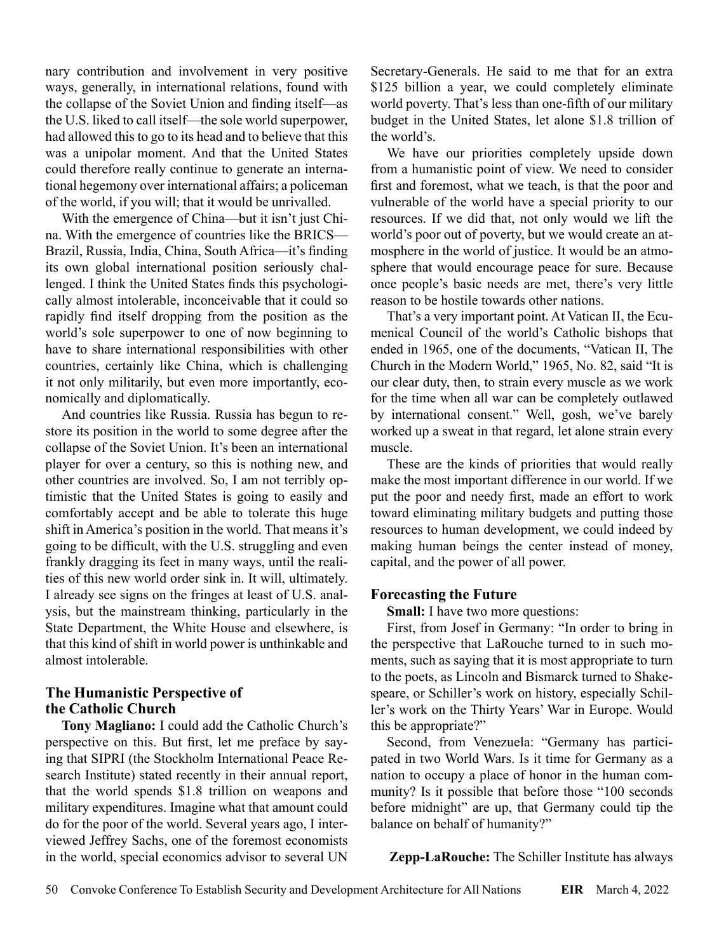nary contribution and involvement in very positive ways, generally, in international relations, found with the collapse of the Soviet Union and finding itself—as the U.S. liked to call itself—the sole world superpower, had allowed this to go to its head and to believe that this was a unipolar moment. And that the United States could therefore really continue to generate an international hegemony over international affairs; a policeman of the world, if you will; that it would be unrivalled.

With the emergence of China—but it isn't just China. With the emergence of countries like the BRICS— Brazil, Russia, India, China, South Africa—it's finding its own global international position seriously challenged. I think the United States finds this psychologically almost intolerable, inconceivable that it could so rapidly find itself dropping from the position as the world's sole superpower to one of now beginning to have to share international responsibilities with other countries, certainly like China, which is challenging it not only militarily, but even more importantly, economically and diplomatically.

And countries like Russia. Russia has begun to restore its position in the world to some degree after the collapse of the Soviet Union. It's been an international player for over a century, so this is nothing new, and other countries are involved. So, I am not terribly optimistic that the United States is going to easily and comfortably accept and be able to tolerate this huge shift in America's position in the world. That means it's going to be difficult, with the U.S. struggling and even frankly dragging its feet in many ways, until the realities of this new world order sink in. It will, ultimately. I already see signs on the fringes at least of U.S. analysis, but the mainstream thinking, particularly in the State Department, the White House and elsewhere, is that this kind of shift in world power is unthinkable and almost intolerable.

### **The Humanistic Perspective of the Catholic Church**

**Tony Magliano:** I could add the Catholic Church's perspective on this. But first, let me preface by saying that SIPRI (the Stockholm International Peace Research Institute) stated recently in their annual report, that the world spends \$1.8 trillion on weapons and military expenditures. Imagine what that amount could do for the poor of the world. Several years ago, I interviewed Jeffrey Sachs, one of the foremost economists in the world, special economics advisor to several UN Secretary-Generals. He said to me that for an extra \$125 billion a year, we could completely eliminate world poverty. That's less than one-fifth of our military budget in the United States, let alone \$1.8 trillion of the world's.

We have our priorities completely upside down from a humanistic point of view. We need to consider first and foremost, what we teach, is that the poor and vulnerable of the world have a special priority to our resources. If we did that, not only would we lift the world's poor out of poverty, but we would create an atmosphere in the world of justice. It would be an atmosphere that would encourage peace for sure. Because once people's basic needs are met, there's very little reason to be hostile towards other nations.

That's a very important point. At Vatican II, the Ecumenical Council of the world's Catholic bishops that ended in 1965, one of the documents, "Vatican II, The Church in the Modern World," 1965, No. 82, said "It is our clear duty, then, to strain every muscle as we work for the time when all war can be completely outlawed by international consent." Well, gosh, we've barely worked up a sweat in that regard, let alone strain every muscle.

These are the kinds of priorities that would really make the most important difference in our world. If we put the poor and needy first, made an effort to work toward eliminating military budgets and putting those resources to human development, we could indeed by making human beings the center instead of money, capital, and the power of all power.

## **Forecasting the Future**

**Small:** I have two more questions:

First, from Josef in Germany: "In order to bring in the perspective that LaRouche turned to in such moments, such as saying that it is most appropriate to turn to the poets, as Lincoln and Bismarck turned to Shakespeare, or Schiller's work on history, especially Schiller's work on the Thirty Years' War in Europe. Would this be appropriate?"

Second, from Venezuela: "Germany has participated in two World Wars. Is it time for Germany as a nation to occupy a place of honor in the human community? Is it possible that before those "100 seconds before midnight" are up, that Germany could tip the balance on behalf of humanity?"

**Zepp-LaRouche:** The Schiller Institute has always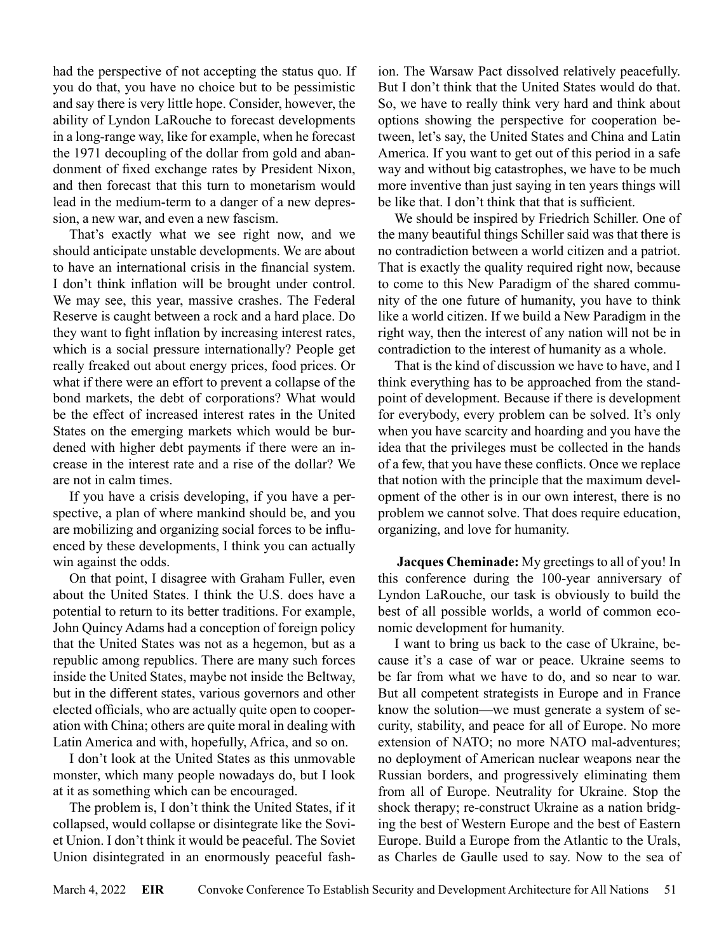had the perspective of not accepting the status quo. If you do that, you have no choice but to be pessimistic and say there is very little hope. Consider, however, the ability of Lyndon LaRouche to forecast developments in a long-range way, like for example, when he forecast the 1971 decoupling of the dollar from gold and abandonment of fixed exchange rates by President Nixon, and then forecast that this turn to monetarism would lead in the medium-term to a danger of a new depression, a new war, and even a new fascism.

That's exactly what we see right now, and we should anticipate unstable developments. We are about to have an international crisis in the financial system. I don't think inflation will be brought under control. We may see, this year, massive crashes. The Federal Reserve is caught between a rock and a hard place. Do they want to fight inflation by increasing interest rates, which is a social pressure internationally? People get really freaked out about energy prices, food prices. Or what if there were an effort to prevent a collapse of the bond markets, the debt of corporations? What would be the effect of increased interest rates in the United States on the emerging markets which would be burdened with higher debt payments if there were an increase in the interest rate and a rise of the dollar? We are not in calm times.

If you have a crisis developing, if you have a perspective, a plan of where mankind should be, and you are mobilizing and organizing social forces to be influenced by these developments, I think you can actually win against the odds.

On that point, I disagree with Graham Fuller, even about the United States. I think the U.S. does have a potential to return to its better traditions. For example, John Quincy Adams had a conception of foreign policy that the United States was not as a hegemon, but as a republic among republics. There are many such forces inside the United States, maybe not inside the Beltway, but in the different states, various governors and other elected officials, who are actually quite open to cooperation with China; others are quite moral in dealing with Latin America and with, hopefully, Africa, and so on.

I don't look at the United States as this unmovable monster, which many people nowadays do, but I look at it as something which can be encouraged.

The problem is, I don't think the United States, if it collapsed, would collapse or disintegrate like the Soviet Union. I don't think it would be peaceful. The Soviet Union disintegrated in an enormously peaceful fashion. The Warsaw Pact dissolved relatively peacefully. But I don't think that the United States would do that. So, we have to really think very hard and think about options showing the perspective for cooperation between, let's say, the United States and China and Latin America. If you want to get out of this period in a safe way and without big catastrophes, we have to be much more inventive than just saying in ten years things will be like that. I don't think that that is sufficient.

We should be inspired by Friedrich Schiller. One of the many beautiful things Schiller said was that there is no contradiction between a world citizen and a patriot. That is exactly the quality required right now, because to come to this New Paradigm of the shared community of the one future of humanity, you have to think like a world citizen. If we build a New Paradigm in the right way, then the interest of any nation will not be in contradiction to the interest of humanity as a whole.

That is the kind of discussion we have to have, and I think everything has to be approached from the standpoint of development. Because if there is development for everybody, every problem can be solved. It's only when you have scarcity and hoarding and you have the idea that the privileges must be collected in the hands of a few, that you have these conflicts. Once we replace that notion with the principle that the maximum development of the other is in our own interest, there is no problem we cannot solve. That does require education, organizing, and love for humanity.

**Jacques Cheminade:** My greetings to all of you! In this conference during the 100-year anniversary of Lyndon LaRouche, our task is obviously to build the best of all possible worlds, a world of common economic development for humanity.

I want to bring us back to the case of Ukraine, because it's a case of war or peace. Ukraine seems to be far from what we have to do, and so near to war. But all competent strategists in Europe and in France know the solution—we must generate a system of security, stability, and peace for all of Europe. No more extension of NATO; no more NATO mal-adventures; no deployment of American nuclear weapons near the Russian borders, and progressively eliminating them from all of Europe. Neutrality for Ukraine. Stop the shock therapy; re-construct Ukraine as a nation bridging the best of Western Europe and the best of Eastern Europe. Build a Europe from the Atlantic to the Urals, as Charles de Gaulle used to say. Now to the sea of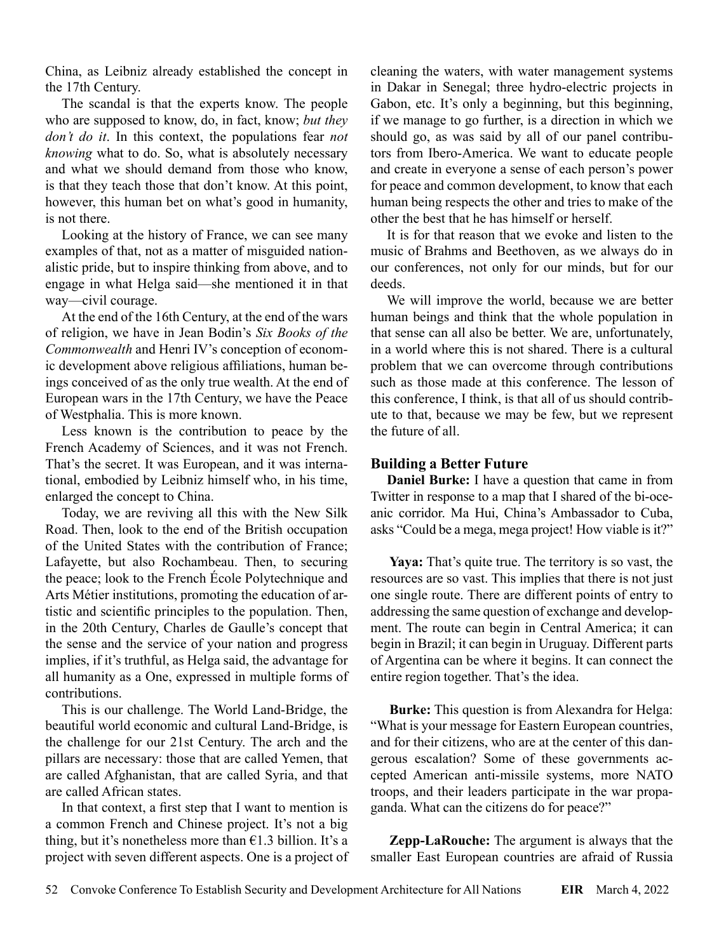China, as Leibniz already established the concept in the 17th Century.

The scandal is that the experts know. The people who are supposed to know, do, in fact, know; *but they don't do it*. In this context, the populations fear *not knowing* what to do. So, what is absolutely necessary and what we should demand from those who know, is that they teach those that don't know. At this point, however, this human bet on what's good in humanity, is not there.

Looking at the history of France, we can see many examples of that, not as a matter of misguided nationalistic pride, but to inspire thinking from above, and to engage in what Helga said—she mentioned it in that way—civil courage.

At the end of the 16th Century, at the end of the wars of religion, we have in Jean Bodin's *Six Books of the Commonwealth* and Henri IV's conception of economic development above religious affiliations, human beings conceived of as the only true wealth. At the end of European wars in the 17th Century, we have the Peace of Westphalia. This is more known.

Less known is the contribution to peace by the French Academy of Sciences, and it was not French. That's the secret. It was European, and it was international, embodied by Leibniz himself who, in his time, enlarged the concept to China.

Today, we are reviving all this with the New Silk Road. Then, look to the end of the British occupation of the United States with the contribution of France; Lafayette, but also Rochambeau. Then, to securing the peace; look to the French École Polytechnique and Arts Métier institutions, promoting the education of artistic and scientific principles to the population. Then, in the 20th Century, Charles de Gaulle's concept that the sense and the service of your nation and progress implies, if it's truthful, as Helga said, the advantage for all humanity as a One, expressed in multiple forms of contributions.

This is our challenge. The World Land-Bridge, the beautiful world economic and cultural Land-Bridge, is the challenge for our 21st Century. The arch and the pillars are necessary: those that are called Yemen, that are called Afghanistan, that are called Syria, and that are called African states.

In that context, a first step that I want to mention is a common French and Chinese project. It's not a big thing, but it's nonetheless more than  $\epsilon$ 1.3 billion. It's a project with seven different aspects. One is a project of cleaning the waters, with water management systems in Dakar in Senegal; three hydro-electric projects in Gabon, etc. It's only a beginning, but this beginning, if we manage to go further, is a direction in which we should go, as was said by all of our panel contributors from Ibero-America. We want to educate people and create in everyone a sense of each person's power for peace and common development, to know that each human being respects the other and tries to make of the other the best that he has himself or herself.

It is for that reason that we evoke and listen to the music of Brahms and Beethoven, as we always do in our conferences, not only for our minds, but for our deeds.

We will improve the world, because we are better human beings and think that the whole population in that sense can all also be better. We are, unfortunately, in a world where this is not shared. There is a cultural problem that we can overcome through contributions such as those made at this conference. The lesson of this conference, I think, is that all of us should contribute to that, because we may be few, but we represent the future of all.

## **Building a Better Future**

**Daniel Burke:** I have a question that came in from Twitter in response to a map that I shared of the bi-oceanic corridor. Ma Hui, China's Ambassador to Cuba, asks "Could be a mega, mega project! How viable is it?"

**Yaya:** That's quite true. The territory is so vast, the resources are so vast. This implies that there is not just one single route. There are different points of entry to addressing the same question of exchange and development. The route can begin in Central America; it can begin in Brazil; it can begin in Uruguay. Different parts of Argentina can be where it begins. It can connect the entire region together. That's the idea.

**Burke:** This question is from Alexandra for Helga: "What is your message for Eastern European countries, and for their citizens, who are at the center of this dangerous escalation? Some of these governments accepted American anti-missile systems, more NATO troops, and their leaders participate in the war propaganda. What can the citizens do for peace?"

**Zepp-LaRouche:** The argument is always that the smaller East European countries are afraid of Russia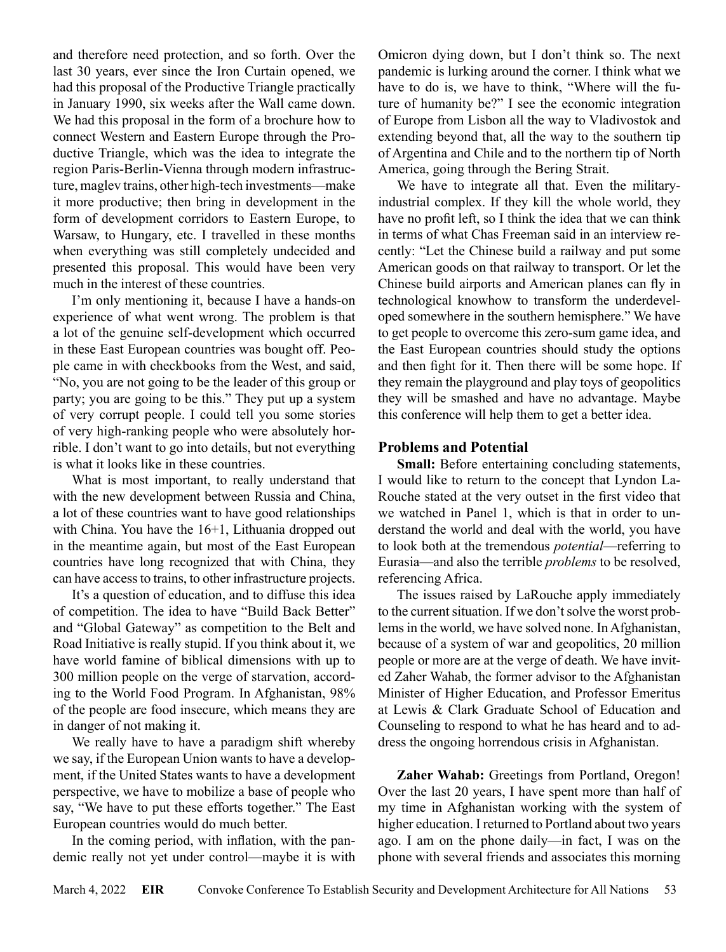and therefore need protection, and so forth. Over the last 30 years, ever since the Iron Curtain opened, we had this proposal of the Productive Triangle practically in January 1990, six weeks after the Wall came down. We had this proposal in the form of a brochure how to connect Western and Eastern Europe through the Productive Triangle, which was the idea to integrate the region Paris-Berlin-Vienna through modern infrastructure, maglev trains, other high-tech investments—make it more productive; then bring in development in the form of development corridors to Eastern Europe, to Warsaw, to Hungary, etc. I travelled in these months when everything was still completely undecided and presented this proposal. This would have been very much in the interest of these countries.

I'm only mentioning it, because I have a hands-on experience of what went wrong. The problem is that a lot of the genuine self-development which occurred in these East European countries was bought off. People came in with checkbooks from the West, and said, "No, you are not going to be the leader of this group or party; you are going to be this." They put up a system of very corrupt people. I could tell you some stories of very high-ranking people who were absolutely horrible. I don't want to go into details, but not everything is what it looks like in these countries.

What is most important, to really understand that with the new development between Russia and China, a lot of these countries want to have good relationships with China. You have the 16+1, Lithuania dropped out in the meantime again, but most of the East European countries have long recognized that with China, they can have access to trains, to other infrastructure projects.

It's a question of education, and to diffuse this idea of competition. The idea to have "Build Back Better" and "Global Gateway" as competition to the Belt and Road Initiative is really stupid. If you think about it, we have world famine of biblical dimensions with up to 300 million people on the verge of starvation, according to the World Food Program. In Afghanistan, 98% of the people are food insecure, which means they are in danger of not making it.

We really have to have a paradigm shift whereby we say, if the European Union wants to have a development, if the United States wants to have a development perspective, we have to mobilize a base of people who say, "We have to put these efforts together." The East European countries would do much better.

In the coming period, with inflation, with the pandemic really not yet under control—maybe it is with Omicron dying down, but I don't think so. The next pandemic is lurking around the corner. I think what we have to do is, we have to think, "Where will the future of humanity be?" I see the economic integration of Europe from Lisbon all the way to Vladivostok and extending beyond that, all the way to the southern tip of Argentina and Chile and to the northern tip of North America, going through the Bering Strait.

We have to integrate all that. Even the militaryindustrial complex. If they kill the whole world, they have no profit left, so I think the idea that we can think in terms of what Chas Freeman said in an interview recently: "Let the Chinese build a railway and put some American goods on that railway to transport. Or let the Chinese build airports and American planes can fly in technological knowhow to transform the underdeveloped somewhere in the southern hemisphere." We have to get people to overcome this zero-sum game idea, and the East European countries should study the options and then fight for it. Then there will be some hope. If they remain the playground and play toys of geopolitics they will be smashed and have no advantage. Maybe this conference will help them to get a better idea.

### **Problems and Potential**

**Small:** Before entertaining concluding statements, I would like to return to the concept that Lyndon La-Rouche stated at the very outset in the first video that we watched in Panel 1, which is that in order to understand the world and deal with the world, you have to look both at the tremendous *potential*—referring to Eurasia—and also the terrible *problems* to be resolved, referencing Africa.

The issues raised by LaRouche apply immediately to the current situation. If we don't solve the worst problems in the world, we have solved none. In Afghanistan, because of a system of war and geopolitics, 20 million people or more are at the verge of death. We have invited Zaher Wahab, the former advisor to the Afghanistan Minister of Higher Education, and Professor Emeritus at Lewis & Clark Graduate School of Education and Counseling to respond to what he has heard and to address the ongoing horrendous crisis in Afghanistan.

**Zaher Wahab:** Greetings from Portland, Oregon! Over the last 20 years, I have spent more than half of my time in Afghanistan working with the system of higher education. I returned to Portland about two years ago. I am on the phone daily—in fact, I was on the phone with several friends and associates this morning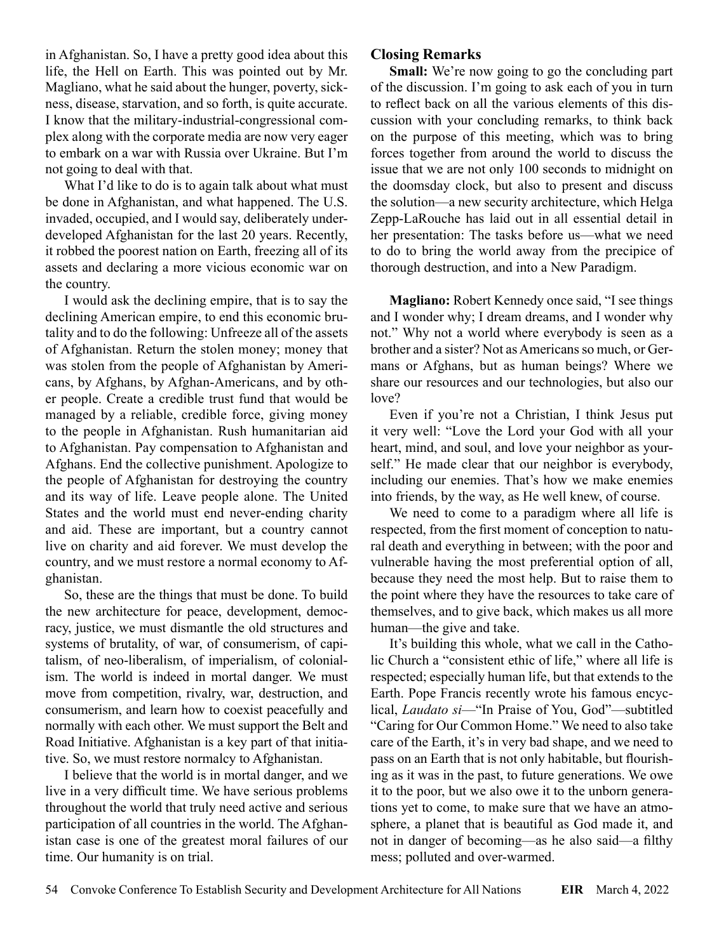in Afghanistan. So, I have a pretty good idea about this life, the Hell on Earth. This was pointed out by Mr. Magliano, what he said about the hunger, poverty, sickness, disease, starvation, and so forth, is quite accurate. I know that the military-industrial-congressional complex along with the corporate media are now very eager to embark on a war with Russia over Ukraine. But I'm not going to deal with that.

What I'd like to do is to again talk about what must be done in Afghanistan, and what happened. The U.S. invaded, occupied, and I would say, deliberately underdeveloped Afghanistan for the last 20 years. Recently, it robbed the poorest nation on Earth, freezing all of its assets and declaring a more vicious economic war on the country.

I would ask the declining empire, that is to say the declining American empire, to end this economic brutality and to do the following: Unfreeze all of the assets of Afghanistan. Return the stolen money; money that was stolen from the people of Afghanistan by Americans, by Afghans, by Afghan-Americans, and by other people. Create a credible trust fund that would be managed by a reliable, credible force, giving money to the people in Afghanistan. Rush humanitarian aid to Afghanistan. Pay compensation to Afghanistan and Afghans. End the collective punishment. Apologize to the people of Afghanistan for destroying the country and its way of life. Leave people alone. The United States and the world must end never-ending charity and aid. These are important, but a country cannot live on charity and aid forever. We must develop the country, and we must restore a normal economy to Afghanistan.

So, these are the things that must be done. To build the new architecture for peace, development, democracy, justice, we must dismantle the old structures and systems of brutality, of war, of consumerism, of capitalism, of neo-liberalism, of imperialism, of colonialism. The world is indeed in mortal danger. We must move from competition, rivalry, war, destruction, and consumerism, and learn how to coexist peacefully and normally with each other. We must support the Belt and Road Initiative. Afghanistan is a key part of that initiative. So, we must restore normalcy to Afghanistan.

I believe that the world is in mortal danger, and we live in a very difficult time. We have serious problems throughout the world that truly need active and serious participation of all countries in the world. The Afghanistan case is one of the greatest moral failures of our time. Our humanity is on trial.

#### **Closing Remarks**

**Small:** We're now going to go the concluding part of the discussion. I'm going to ask each of you in turn to reflect back on all the various elements of this discussion with your concluding remarks, to think back on the purpose of this meeting, which was to bring forces together from around the world to discuss the issue that we are not only 100 seconds to midnight on the doomsday clock, but also to present and discuss the solution—a new security architecture, which Helga Zepp-LaRouche has laid out in all essential detail in her presentation: The tasks before us—what we need to do to bring the world away from the precipice of thorough destruction, and into a New Paradigm.

**Magliano:** Robert Kennedy once said, "I see things and I wonder why; I dream dreams, and I wonder why not." Why not a world where everybody is seen as a brother and a sister? Not as Americans so much, or Germans or Afghans, but as human beings? Where we share our resources and our technologies, but also our love?

Even if you're not a Christian, I think Jesus put it very well: "Love the Lord your God with all your heart, mind, and soul, and love your neighbor as yourself." He made clear that our neighbor is everybody, including our enemies. That's how we make enemies into friends, by the way, as He well knew, of course.

We need to come to a paradigm where all life is respected, from the first moment of conception to natural death and everything in between; with the poor and vulnerable having the most preferential option of all, because they need the most help. But to raise them to the point where they have the resources to take care of themselves, and to give back, which makes us all more human—the give and take.

It's building this whole, what we call in the Catholic Church a "consistent ethic of life," where all life is respected; especially human life, but that extends to the Earth. Pope Francis recently wrote his famous encyclical, *Laudato si*—"In Praise of You, God"—subtitled "Caring for Our Common Home." We need to also take care of the Earth, it's in very bad shape, and we need to pass on an Earth that is not only habitable, but flourishing as it was in the past, to future generations. We owe it to the poor, but we also owe it to the unborn generations yet to come, to make sure that we have an atmosphere, a planet that is beautiful as God made it, and not in danger of becoming—as he also said—a filthy mess; polluted and over-warmed.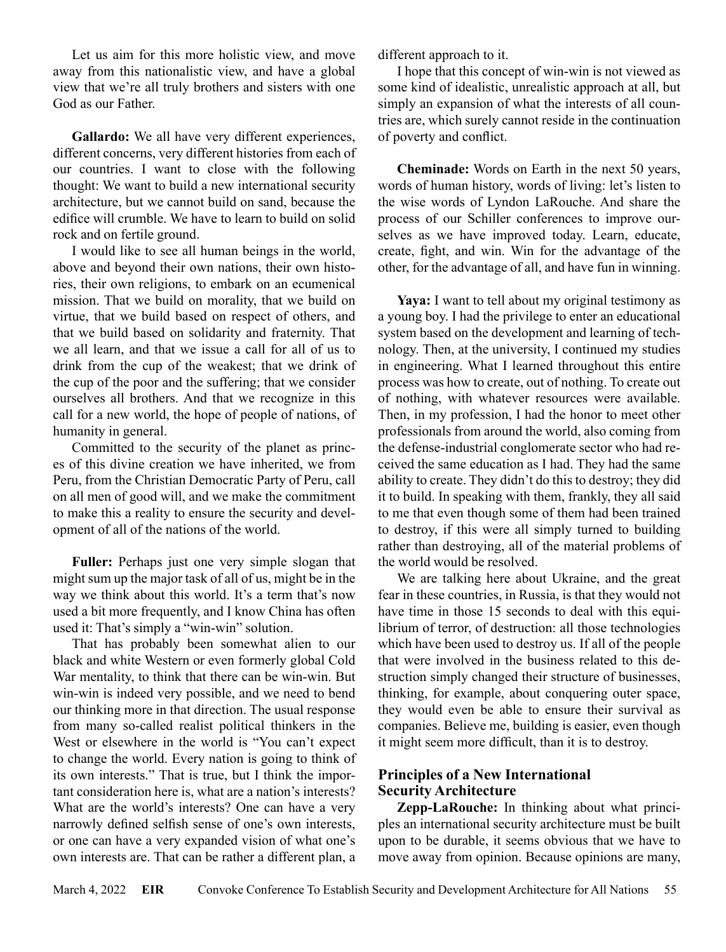Let us aim for this more holistic view, and move away from this nationalistic view, and have a global view that we're all truly brothers and sisters with one God as our Father.

**Gallardo:** We all have very different experiences, different concerns, very different histories from each of our countries. I want to close with the following thought: We want to build a new international security architecture, but we cannot build on sand, because the edifice will crumble. We have to learn to build on solid rock and on fertile ground.

I would like to see all human beings in the world, above and beyond their own nations, their own histories, their own religions, to embark on an ecumenical mission. That we build on morality, that we build on virtue, that we build based on respect of others, and that we build based on solidarity and fraternity. That we all learn, and that we issue a call for all of us to drink from the cup of the weakest; that we drink of the cup of the poor and the suffering; that we consider ourselves all brothers. And that we recognize in this call for a new world, the hope of people of nations, of humanity in general.

Committed to the security of the planet as princes of this divine creation we have inherited, we from Peru, from the Christian Democratic Party of Peru, call on all men of good will, and we make the commitment to make this a reality to ensure the security and development of all of the nations of the world.

**Fuller:** Perhaps just one very simple slogan that might sum up the major task of all of us, might be in the way we think about this world. It's a term that's now used a bit more frequently, and I know China has often used it: That's simply a "win-win" solution.

That has probably been somewhat alien to our black and white Western or even formerly global Cold War mentality, to think that there can be win-win. But win-win is indeed very possible, and we need to bend our thinking more in that direction. The usual response from many so-called realist political thinkers in the West or elsewhere in the world is "You can't expect to change the world. Every nation is going to think of its own interests." That is true, but I think the important consideration here is, what are a nation's interests? What are the world's interests? One can have a very narrowly defined selfish sense of one's own interests, or one can have a very expanded vision of what one's own interests are. That can be rather a different plan, a different approach to it.

I hope that this concept of win-win is not viewed as some kind of idealistic, unrealistic approach at all, but simply an expansion of what the interests of all countries are, which surely cannot reside in the continuation of poverty and conflict.

**Cheminade:** Words on Earth in the next 50 years, words of human history, words of living: let's listen to the wise words of Lyndon LaRouche. And share the process of our Schiller conferences to improve ourselves as we have improved today. Learn, educate, create, fight, and win. Win for the advantage of the other, for the advantage of all, and have fun in winning.

Yaya: I want to tell about my original testimony as a young boy. I had the privilege to enter an educational system based on the development and learning of technology. Then, at the university, I continued my studies in engineering. What I learned throughout this entire process was how to create, out of nothing. To create out of nothing, with whatever resources were available. Then, in my profession, I had the honor to meet other professionals from around the world, also coming from the defense-industrial conglomerate sector who had received the same education as I had. They had the same ability to create. They didn't do this to destroy; they did it to build. In speaking with them, frankly, they all said to me that even though some of them had been trained to destroy, if this were all simply turned to building rather than destroying, all of the material problems of the world would be resolved.

We are talking here about Ukraine, and the great fear in these countries, in Russia, is that they would not have time in those 15 seconds to deal with this equilibrium of terror, of destruction: all those technologies which have been used to destroy us. If all of the people that were involved in the business related to this destruction simply changed their structure of businesses, thinking, for example, about conquering outer space, they would even be able to ensure their survival as companies. Believe me, building is easier, even though it might seem more difficult, than it is to destroy.

## **Principles of a New International Security Architecture**

**Zepp-LaRouche:** In thinking about what principles an international security architecture must be built upon to be durable, it seems obvious that we have to move away from opinion. Because opinions are many,